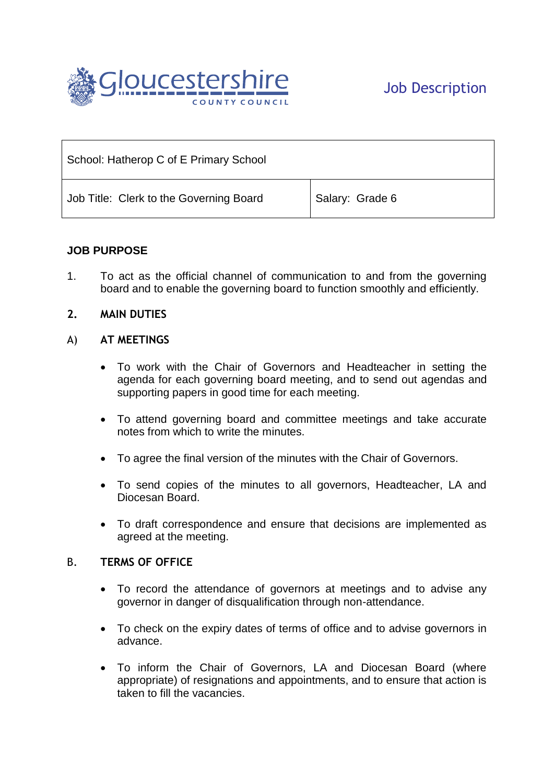

| School: Hatherop C of E Primary School  |                 |
|-----------------------------------------|-----------------|
| Job Title: Clerk to the Governing Board | Salary: Grade 6 |

# **JOB PURPOSE**

1. To act as the official channel of communication to and from the governing board and to enable the governing board to function smoothly and efficiently.

#### **2. MAIN DUTIES**

#### A) **AT MEETINGS**

- To work with the Chair of Governors and Headteacher in setting the agenda for each governing board meeting, and to send out agendas and supporting papers in good time for each meeting.
- To attend governing board and committee meetings and take accurate notes from which to write the minutes.
- To agree the final version of the minutes with the Chair of Governors.
- To send copies of the minutes to all governors, Headteacher, LA and Diocesan Board.
- To draft correspondence and ensure that decisions are implemented as agreed at the meeting.

#### B. **TERMS OF OFFICE**

- To record the attendance of governors at meetings and to advise any governor in danger of disqualification through non-attendance.
- To check on the expiry dates of terms of office and to advise governors in advance.
- To inform the Chair of Governors, LA and Diocesan Board (where appropriate) of resignations and appointments, and to ensure that action is taken to fill the vacancies.